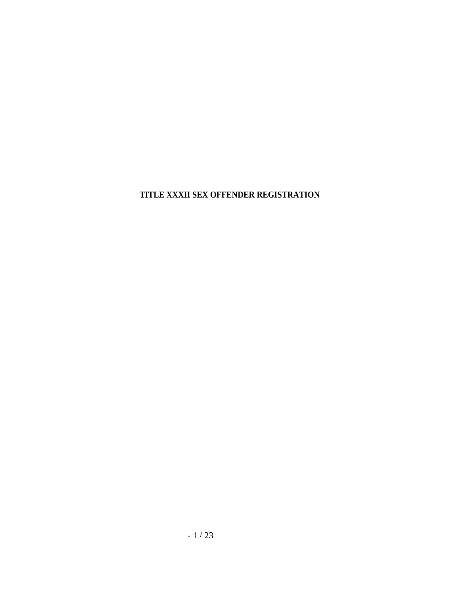**TITLE XXXII SEX OFFENDER REGISTRATION**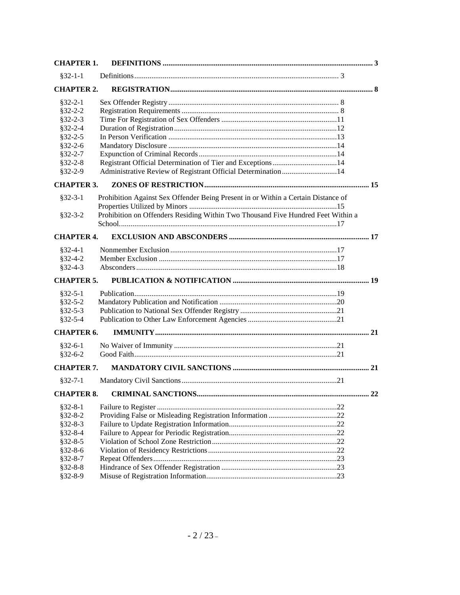| <b>CHAPTER 1.</b> |                                                                                   |    |
|-------------------|-----------------------------------------------------------------------------------|----|
| $§32-1-1$         |                                                                                   |    |
| <b>CHAPTER 2.</b> |                                                                                   |    |
| $$32-2-1$         |                                                                                   |    |
| $§32 - 2 - 2$     |                                                                                   |    |
| $$32-2-3$         |                                                                                   |    |
| $§32 - 2 - 4$     |                                                                                   |    |
| $§32 - 2 - 5$     |                                                                                   |    |
| $§32 - 2 - 6$     |                                                                                   |    |
| $§32-2-7$         |                                                                                   |    |
| $§32 - 2 - 8$     | Registrant Official Determination of Tier and Exceptions14                        |    |
| $$32-2-9$         | Administrative Review of Registrant Official Determination 14                     |    |
| <b>CHAPTER 3.</b> |                                                                                   |    |
|                   |                                                                                   |    |
| $§32-3-1$         | Prohibition Against Sex Offender Being Present in or Within a Certain Distance of |    |
|                   |                                                                                   |    |
| $$32-3-2$         | Prohibition on Offenders Residing Within Two Thousand Five Hundred Feet Within a  |    |
|                   |                                                                                   |    |
| <b>CHAPTER 4.</b> |                                                                                   |    |
| $§32-4-1$         |                                                                                   |    |
| $§32-4-2$         |                                                                                   |    |
| $§32-4-3$         |                                                                                   |    |
| <b>CHAPTER 5.</b> |                                                                                   |    |
| $§32-5-1$         |                                                                                   |    |
| $$32-5-2$         |                                                                                   |    |
| $$32-5-3$         |                                                                                   |    |
| $§32 - 5 - 4$     |                                                                                   |    |
| <b>CHAPTER 6.</b> |                                                                                   |    |
| $$32-6-1$         |                                                                                   |    |
| $$32-6-2$         |                                                                                   |    |
| <b>CHAPTER 7.</b> |                                                                                   |    |
| $§32-7-1$         |                                                                                   |    |
| <b>CHAPTER 8.</b> |                                                                                   | 22 |
| $$32-8-1$         |                                                                                   |    |
| $§32 - 8 - 2$     |                                                                                   |    |
| $§32 - 8 - 3$     |                                                                                   |    |
| $$32-8-4$         |                                                                                   |    |
| $$32-8-5$         |                                                                                   |    |
| $$32-8-6$         |                                                                                   |    |
| $§32 - 8 - 7$     |                                                                                   |    |
| $§32 - 8 - 8$     |                                                                                   |    |
| $§32 - 8 - 9$     |                                                                                   |    |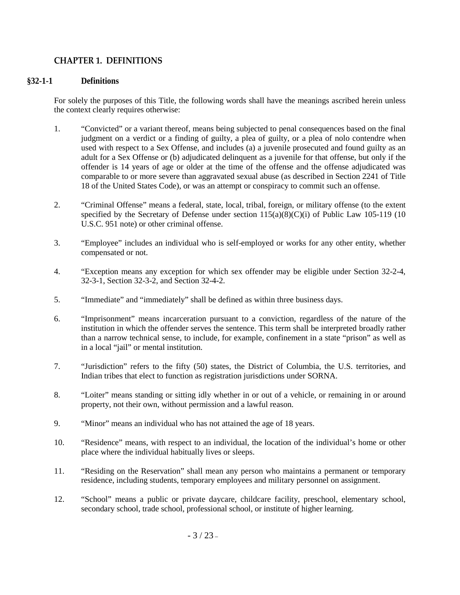## <span id="page-2-0"></span>**CHAPTER 1. DEFINITIONS**

### <span id="page-2-1"></span>**§32-1-1 Definitions**

For solely the purposes of this Title, the following words shall have the meanings ascribed herein unless the context clearly requires otherwise:

- 1. "Convicted" or a variant thereof, means being subjected to penal consequences based on the final judgment on a verdict or a finding of guilty, a plea of guilty, or a plea of nolo contendre when used with respect to a Sex Offense, and includes (a) a juvenile prosecuted and found guilty as an adult for a Sex Offense or (b) adjudicated delinquent as a juvenile for that offense, but only if the offender is 14 years of age or older at the time of the offense and the offense adjudicated was comparable to or more severe than aggravated sexual abuse (as described in Section 2241 of Title 18 of the United States Code), or was an attempt or conspiracy to commit such an offense.
- 2. "Criminal Offense" means a federal, state, local, tribal, foreign, or military offense (to the extent specified by the Secretary of Defense under section  $115(a)(8)(C)(i)$  of Public Law 105-119 (10 U.S.C. 951 note) or other criminal offense.
- 3. "Employee" includes an individual who is self-employed or works for any other entity, whether compensated or not.
- 4. "Exception means any exception for which sex offender may be eligible under Section 32-2-4, 32-3-1, Section 32-3-2, and Section 32-4-2.
- 5. "Immediate" and "immediately" shall be defined as within three business days.
- 6. "Imprisonment" means incarceration pursuant to a conviction, regardless of the nature of the institution in which the offender serves the sentence. This term shall be interpreted broadly rather than a narrow technical sense, to include, for example, confinement in a state "prison" as well as in a local "jail" or mental institution.
- 7. "Jurisdiction" refers to the fifty (50) states, the District of Columbia, the U.S. territories, and Indian tribes that elect to function as registration jurisdictions under SORNA.
- 8. "Loiter" means standing or sitting idly whether in or out of a vehicle, or remaining in or around property, not their own, without permission and a lawful reason.
- 9. "Minor" means an individual who has not attained the age of 18 years.
- 10. "Residence" means, with respect to an individual, the location of the individual's home or other place where the individual habitually lives or sleeps.
- 11. "Residing on the Reservation" shall mean any person who maintains a permanent or temporary residence, including students, temporary employees and military personnel on assignment.
- 12. "School" means a public or private daycare, childcare facility, preschool, elementary school, secondary school, trade school, professional school, or institute of higher learning.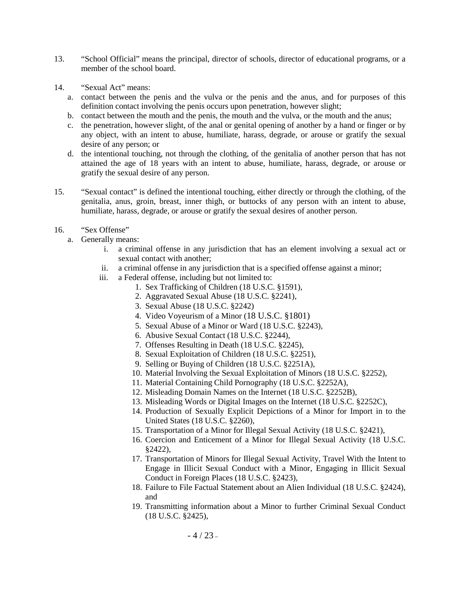- 13. "School Official" means the principal, director of schools, director of educational programs, or a member of the school board.
- 14. "Sexual Act" means:
	- a. contact between the penis and the vulva or the penis and the anus, and for purposes of this definition contact involving the penis occurs upon penetration, however slight;
	- b. contact between the mouth and the penis, the mouth and the vulva, or the mouth and the anus;
	- c. the penetration, however slight, of the anal or genital opening of another by a hand or finger or by any object, with an intent to abuse, humiliate, harass, degrade, or arouse or gratify the sexual desire of any person; or
	- d. the intentional touching, not through the clothing, of the genitalia of another person that has not attained the age of 18 years with an intent to abuse, humiliate, harass, degrade, or arouse or gratify the sexual desire of any person.
- 15. "Sexual contact" is defined the intentional touching, either directly or through the clothing, of the genitalia, anus, groin, breast, inner thigh, or buttocks of any person with an intent to abuse, humiliate, harass, degrade, or arouse or gratify the sexual desires of another person.
- 16. "Sex Offense"
	- a. Generally means:
		- i. a criminal offense in any jurisdiction that has an element involving a sexual act or sexual contact with another;
		- ii. a criminal offense in any jurisdiction that is a specified offense against a minor;
		- iii. a Federal offense, including but not limited to:
			- 1. Sex Trafficking of Children (18 U.S.C. §1591),
			- 2. Aggravated Sexual Abuse (18 U.S.C. §2241),
			- 3. Sexual Abuse (18 U.S.C. §2242)
			- 4. Video Voyeurism of a Minor (18 U.S.C. §1801)
			- 5. Sexual Abuse of a Minor or Ward (18 U.S.C. §2243),
			- 6. Abusive Sexual Contact (18 U.S.C. §2244),
			- 7. Offenses Resulting in Death (18 U.S.C. §2245),
			- 8. Sexual Exploitation of Children (18 U.S.C. §2251),
			- 9. Selling or Buying of Children (18 U.S.C. §2251A),
			- 10. Material Involving the Sexual Exploitation of Minors (18 U.S.C. §2252),
			- 11. Material Containing Child Pornography (18 U.S.C. §2252A),
			- 12. Misleading Domain Names on the Internet (18 U.S.C. §2252B),
			- 13. Misleading Words or Digital Images on the Internet (18 U.S.C. §2252C),
			- 14. Production of Sexually Explicit Depictions of a Minor for Import in to the United States (18 U.S.C. §2260),
			- 15. Transportation of a Minor for Illegal Sexual Activity (18 U.S.C. §2421),
			- 16. Coercion and Enticement of a Minor for Illegal Sexual Activity (18 U.S.C. §2422),
			- 17. Transportation of Minors for Illegal Sexual Activity, Travel With the Intent to Engage in Illicit Sexual Conduct with a Minor, Engaging in Illicit Sexual Conduct in Foreign Places (18 U.S.C. §2423),
			- 18. Failure to File Factual Statement about an Alien Individual (18 U.S.C. §2424), and
			- 19. Transmitting information about a Minor to further Criminal Sexual Conduct (18 U.S.C. §2425),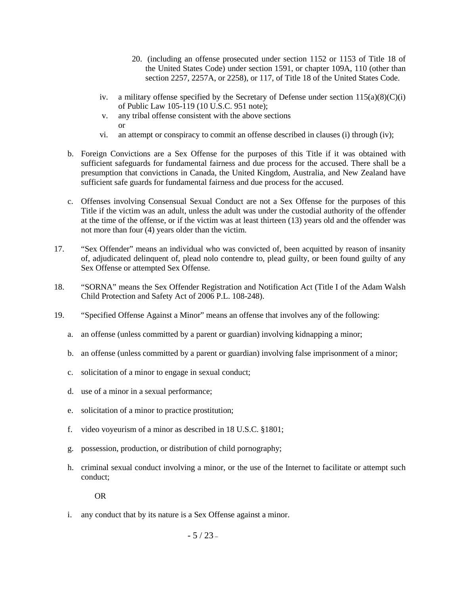- 20. (including an offense prosecuted under section 1152 or 1153 of Title 18 of the United States Code) under section 1591, or chapter 109A, 110 (other than section 2257, 2257A, or 2258), or 117, of Title 18 of the United States Code.
- iv. a military offense specified by the Secretary of Defense under section  $115(a)(8)(C)(i)$ of Public Law 105-119 (10 U.S.C. 951 note);
- v. any tribal offense consistent with the above sections or
- vi. an attempt or conspiracy to commit an offense described in clauses (i) through (iv);
- b. Foreign Convictions are a Sex Offense for the purposes of this Title if it was obtained with sufficient safeguards for fundamental fairness and due process for the accused. There shall be a presumption that convictions in Canada, the United Kingdom, Australia, and New Zealand have sufficient safe guards for fundamental fairness and due process for the accused.
- c. Offenses involving Consensual Sexual Conduct are not a Sex Offense for the purposes of this Title if the victim was an adult, unless the adult was under the custodial authority of the offender at the time of the offense, or if the victim was at least thirteen (13) years old and the offender was not more than four (4) years older than the victim.
- 17. "Sex Offender" means an individual who was convicted of, been acquitted by reason of insanity of, adjudicated delinquent of, plead nolo contendre to, plead guilty, or been found guilty of any Sex Offense or attempted Sex Offense.
- 18. "SORNA" means the Sex Offender Registration and Notification Act (Title I of the Adam Walsh Child Protection and Safety Act of 2006 P.L. 108-248).
- 19. "Specified Offense Against a Minor" means an offense that involves any of the following:
	- a. an offense (unless committed by a parent or guardian) involving kidnapping a minor;
	- b. an offense (unless committed by a parent or guardian) involving false imprisonment of a minor;
	- c. solicitation of a minor to engage in sexual conduct;
	- d. use of a minor in a sexual performance;
	- e. solicitation of a minor to practice prostitution;
	- f. video voyeurism of a minor as described in 18 U.S.C. §1801;
	- g. possession, production, or distribution of child pornography;
	- h. criminal sexual conduct involving a minor, or the use of the Internet to facilitate or attempt such conduct;

OR

i. any conduct that by its nature is a Sex Offense against a minor.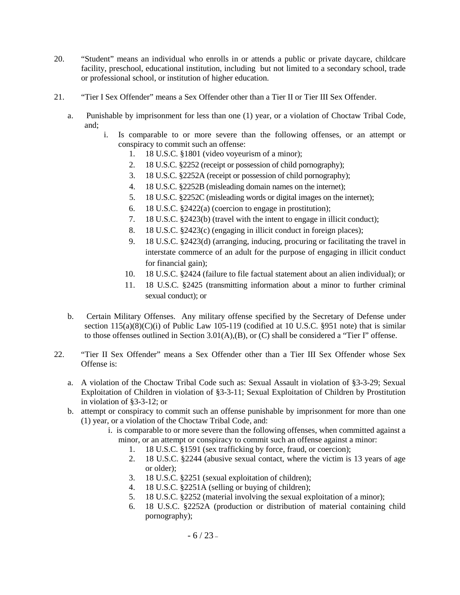- 20. "Student" means an individual who enrolls in or attends a public or private daycare, childcare facility, preschool, educational institution, including but not limited to a secondary school, trade or professional school, or institution of higher education.
- 21. "Tier I Sex Offender" means a Sex Offender other than a Tier II or Tier III Sex Offender.
	- a. Punishable by imprisonment for less than one (1) year, or a violation of Choctaw Tribal Code, and;
		- i. Is comparable to or more severe than the following offenses, or an attempt or conspiracy to commit such an offense:
			- 1. 18 U.S.C. §1801 (video voyeurism of a minor);
			- 2. 18 U.S.C. §2252 (receipt or possession of child pornography);
			- 3. 18 U.S.C. §2252A (receipt or possession of child pornography);
			- 4. 18 U.S.C. §2252B (misleading domain names on the internet);
			- 5. 18 U.S.C. §2252C (misleading words or digital images on the internet);
			- 6. 18 U.S.C. §2422(a) (coercion to engage in prostitution);
			- 7. 18 U.S.C. §2423(b) (travel with the intent to engage in illicit conduct);
			- 8. 18 U.S.C. §2423(c) (engaging in illicit conduct in foreign places);
			- 9. 18 U.S.C. §2423(d) (arranging, inducing, procuring or facilitating the travel in interstate commerce of an adult for the purpose of engaging in illicit conduct for financial gain);
			- 10. 18 U.S.C. §2424 (failure to file factual statement about an alien individual); or
			- 11. 18 U.S.C. §2425 (transmitting information about a minor to further criminal sexual conduct); or
	- b. Certain Military Offenses. Any military offense specified by the Secretary of Defense under section 115(a)(8)(C)(i) of Public Law 105-119 (codified at 10 U.S.C. §951 note) that is similar to those offenses outlined in Section 3.01(A),(B), or (C) shall be considered a "Tier I" offense.
- 22. "Tier II Sex Offender" means a Sex Offender other than a Tier III Sex Offender whose Sex Offense is:
	- a. A violation of the Choctaw Tribal Code such as: Sexual Assault in violation of §3-3-29; Sexual Exploitation of Children in violation of §3-3-11; Sexual Exploitation of Children by Prostitution in violation of §3-3-12; or
	- b. attempt or conspiracy to commit such an offense punishable by imprisonment for more than one (1) year, or a violation of the Choctaw Tribal Code, and:
		- i. is comparable to or more severe than the following offenses, when committed against a minor, or an attempt or conspiracy to commit such an offense against a minor:
			- 1. 18 U.S.C. §1591 (sex trafficking by force, fraud, or coercion);
			- 2. 18 U.S.C. §2244 (abusive sexual contact, where the victim is 13 years of age or older);
			- 3. 18 U.S.C. §2251 (sexual exploitation of children);
			- 4. 18 U.S.C. §2251A (selling or buying of children);
			- 5. 18 U.S.C. §2252 (material involving the sexual exploitation of a minor);
			- 6. 18 U.S.C. §2252A (production or distribution of material containing child pornography);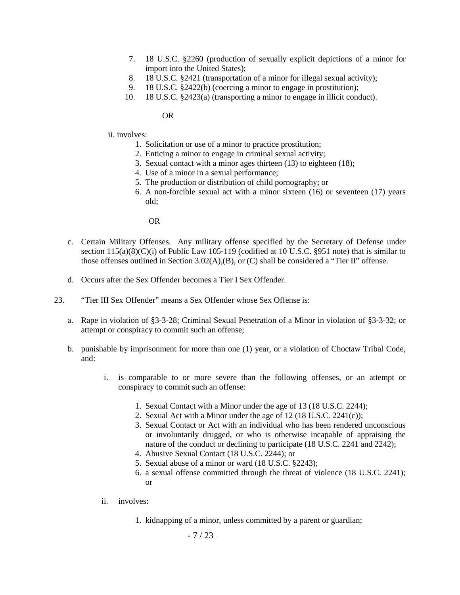- 7. 18 U.S.C. §2260 (production of sexually explicit depictions of a minor for import into the United States);
- 8. 18 U.S.C. §2421 (transportation of a minor for illegal sexual activity);
- 9. 18 U.S.C. §2422(b) (coercing a minor to engage in prostitution);
- 10. 18 U.S.C. §2423(a) (transporting a minor to engage in illicit conduct).

OR

#### ii. involves:

- 1. Solicitation or use of a minor to practice prostitution;
- 2. Enticing a minor to engage in criminal sexual activity;
- 3. Sexual contact with a minor ages thirteen (13) to eighteen (18);
- 4. Use of a minor in a sexual performance;
- 5. The production or distribution of child pornography; or
- 6. A non-forcible sexual act with a minor sixteen (16) or seventeen (17) years old;

OR

- c. Certain Military Offenses. Any military offense specified by the Secretary of Defense under section  $115(a)(8)(C)(i)$  of Public Law 105-119 (codified at 10 U.S.C. §951 note) that is similar to those offenses outlined in Section 3.02(A),(B), or (C) shall be considered a "Tier II" offense.
- d. Occurs after the Sex Offender becomes a Tier I Sex Offender.
- 23. "Tier III Sex Offender" means a Sex Offender whose Sex Offense is:
	- a. Rape in violation of §3-3-28; Criminal Sexual Penetration of a Minor in violation of §3-3-32; or attempt or conspiracy to commit such an offense;
	- b. punishable by imprisonment for more than one (1) year, or a violation of Choctaw Tribal Code, and:
		- i. is comparable to or more severe than the following offenses, or an attempt or conspiracy to commit such an offense:
			- 1. Sexual Contact with a Minor under the age of 13 (18 U.S.C. 2244);
			- 2. Sexual Act with a Minor under the age of 12 (18 U.S.C. 2241(c));
			- 3. Sexual Contact or Act with an individual who has been rendered unconscious or involuntarily drugged, or who is otherwise incapable of appraising the nature of the conduct or declining to participate (18 U.S.C. 2241 and 2242);
			- 4. Abusive Sexual Contact (18 U.S.C. 2244); or
			- 5. Sexual abuse of a minor or ward (18 U.S.C. §2243);
			- 6. a sexual offense committed through the threat of violence (18 U.S.C. 2241); or
		- ii. involves:
			- 1. kidnapping of a minor, unless committed by a parent or guardian;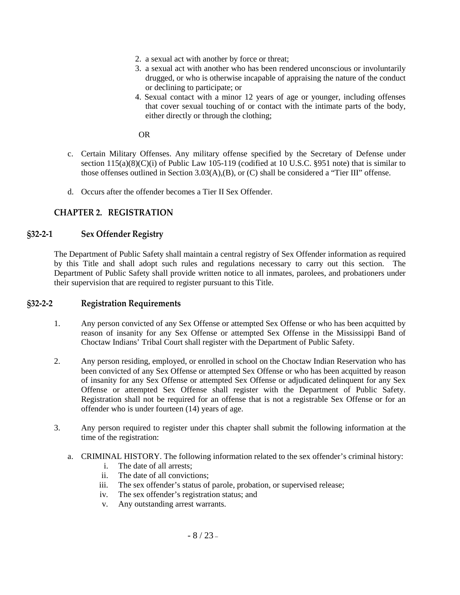- 2. a sexual act with another by force or threat;
- 3. a sexual act with another who has been rendered unconscious or involuntarily drugged, or who is otherwise incapable of appraising the nature of the conduct or declining to participate; or
- 4. Sexual contact with a minor 12 years of age or younger, including offenses that cover sexual touching of or contact with the intimate parts of the body, either directly or through the clothing;

OR

- c. Certain Military Offenses. Any military offense specified by the Secretary of Defense under section  $115(a)(8)(C)(i)$  of Public Law 105-119 (codified at 10 U.S.C. §951 note) that is similar to those offenses outlined in Section 3.03(A),(B), or (C) shall be considered a "Tier III" offense.
- d. Occurs after the offender becomes a Tier II Sex Offender.

# <span id="page-7-0"></span>**CHAPTER 2. REGISTRATION**

### <span id="page-7-1"></span>**§32-2-1 Sex Offender Registry**

The Department of Public Safety shall maintain a central registry of Sex Offender information as required by this Title and shall adopt such rules and regulations necessary to carry out this section. The Department of Public Safety shall provide written notice to all inmates, parolees, and probationers under their supervision that are required to register pursuant to this Title.

### <span id="page-7-2"></span>**§32-2-2 Registration Requirements**

- 1. Any person convicted of any Sex Offense or attempted Sex Offense or who has been acquitted by reason of insanity for any Sex Offense or attempted Sex Offense in the Mississippi Band of Choctaw Indians' Tribal Court shall register with the Department of Public Safety.
- 2. Any person residing, employed, or enrolled in school on the Choctaw Indian Reservation who has been convicted of any Sex Offense or attempted Sex Offense or who has been acquitted by reason of insanity for any Sex Offense or attempted Sex Offense or adjudicated delinquent for any Sex Offense or attempted Sex Offense shall register with the Department of Public Safety. Registration shall not be required for an offense that is not a registrable Sex Offense or for an offender who is under fourteen (14) years of age.
- 3. Any person required to register under this chapter shall submit the following information at the time of the registration:
	- a. CRIMINAL HISTORY. The following information related to the sex offender's criminal history:
		- i. The date of all arrests;
		- ii. The date of all convictions;
		- iii. The sex offender's status of parole, probation, or supervised release;
		- iv. The sex offender's registration status; and
		- v. Any outstanding arrest warrants.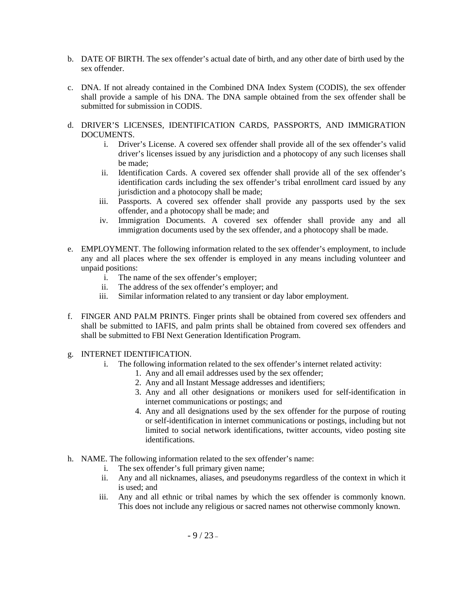- b. DATE OF BIRTH. The sex offender's actual date of birth, and any other date of birth used by the sex offender.
- c. DNA. If not already contained in the Combined DNA Index System (CODIS), the sex offender shall provide a sample of his DNA. The DNA sample obtained from the sex offender shall be submitted for submission in CODIS.
- d. DRIVER'S LICENSES, IDENTIFICATION CARDS, PASSPORTS, AND IMMIGRATION DOCUMENTS.
	- i. Driver's License. A covered sex offender shall provide all of the sex offender's valid driver's licenses issued by any jurisdiction and a photocopy of any such licenses shall be made;
	- ii. Identification Cards. A covered sex offender shall provide all of the sex offender's identification cards including the sex offender's tribal enrollment card issued by any jurisdiction and a photocopy shall be made;
	- iii. Passports. A covered sex offender shall provide any passports used by the sex offender, and a photocopy shall be made; and
	- iv. Immigration Documents. A covered sex offender shall provide any and all immigration documents used by the sex offender, and a photocopy shall be made.
- e. EMPLOYMENT. The following information related to the sex offender's employment, to include any and all places where the sex offender is employed in any means including volunteer and unpaid positions:
	- i. The name of the sex offender's employer;
	- ii. The address of the sex offender's employer; and
	- iii. Similar information related to any transient or day labor employment.
- f. FINGER AND PALM PRINTS. Finger prints shall be obtained from covered sex offenders and shall be submitted to IAFIS, and palm prints shall be obtained from covered sex offenders and shall be submitted to FBI Next Generation Identification Program.
- g. INTERNET IDENTIFICATION.
	- i. The following information related to the sex offender's internet related activity:
		- 1. Any and all email addresses used by the sex offender;
		- 2. Any and all Instant Message addresses and identifiers;
		- 3. Any and all other designations or monikers used for self-identification in internet communications or postings; and
		- 4. Any and all designations used by the sex offender for the purpose of routing or self-identification in internet communications or postings, including but not limited to social network identifications, twitter accounts, video posting site identifications.
- h. NAME. The following information related to the sex offender's name:
	- i. The sex offender's full primary given name;
	- ii. Any and all nicknames, aliases, and pseudonyms regardless of the context in which it is used; and
	- iii. Any and all ethnic or tribal names by which the sex offender is commonly known. This does not include any religious or sacred names not otherwise commonly known.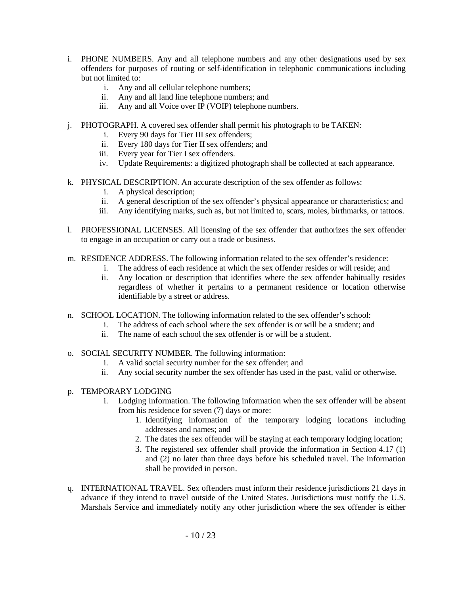- i. PHONE NUMBERS. Any and all telephone numbers and any other designations used by sex offenders for purposes of routing or self-identification in telephonic communications including but not limited to:
	- i. Any and all cellular telephone numbers;
	- ii. Any and all land line telephone numbers; and
	- iii. Any and all Voice over IP (VOIP) telephone numbers.
- j. PHOTOGRAPH. A covered sex offender shall permit his photograph to be TAKEN:
	- i. Every 90 days for Tier III sex offenders;
	- ii. Every 180 days for Tier II sex offenders; and
	- iii. Every year for Tier I sex offenders.
	- iv. Update Requirements: a digitized photograph shall be collected at each appearance.
- k. PHYSICAL DESCRIPTION. An accurate description of the sex offender as follows:
	- i. A physical description;
	- ii. A general description of the sex offender's physical appearance or characteristics; and
	- iii. Any identifying marks, such as, but not limited to, scars, moles, birthmarks, or tattoos.
- l. PROFESSIONAL LICENSES. All licensing of the sex offender that authorizes the sex offender to engage in an occupation or carry out a trade or business.
- m. RESIDENCE ADDRESS. The following information related to the sex offender's residence:
	- i. The address of each residence at which the sex offender resides or will reside; and
	- ii. Any location or description that identifies where the sex offender habitually resides regardless of whether it pertains to a permanent residence or location otherwise identifiable by a street or address.
- n. SCHOOL LOCATION. The following information related to the sex offender's school:
	- i. The address of each school where the sex offender is or will be a student; and
	- ii. The name of each school the sex offender is or will be a student.
- o. SOCIAL SECURITY NUMBER. The following information:
	- i. A valid social security number for the sex offender; and
	- ii. Any social security number the sex offender has used in the past, valid or otherwise.
- p. TEMPORARY LODGING
	- i. Lodging Information. The following information when the sex offender will be absent from his residence for seven (7) days or more:
		- 1. Identifying information of the temporary lodging locations including addresses and names; and
		- 2. The dates the sex offender will be staying at each temporary lodging location;
		- 3. The registered sex offender shall provide the information in Section 4.17 (1) and (2) no later than three days before his scheduled travel. The information shall be provided in person.
- q. INTERNATIONAL TRAVEL. Sex offenders must inform their residence jurisdictions 21 days in advance if they intend to travel outside of the United States. Jurisdictions must notify the U.S. Marshals Service and immediately notify any other jurisdiction where the sex offender is either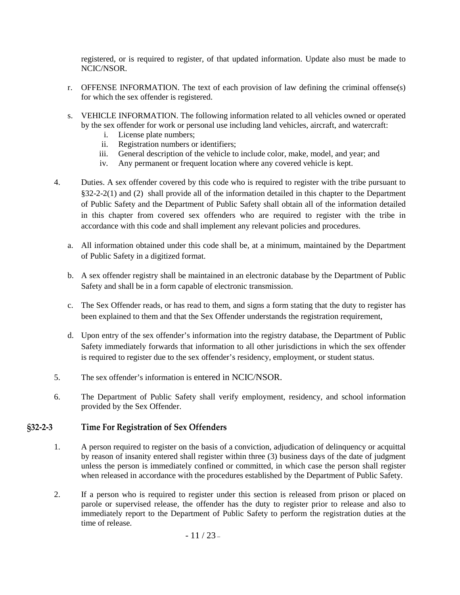registered, or is required to register, of that updated information. Update also must be made to NCIC/NSOR.

- r. OFFENSE INFORMATION. The text of each provision of law defining the criminal offense(s) for which the sex offender is registered.
- s. VEHICLE INFORMATION. The following information related to all vehicles owned or operated by the sex offender for work or personal use including land vehicles, aircraft, and watercraft:
	- i. License plate numbers;
	- ii. Registration numbers or identifiers;
	- iii. General description of the vehicle to include color, make, model, and year; and
	- iv. Any permanent or frequent location where any covered vehicle is kept.
- 4. Duties. A sex offender covered by this code who is required to register with the tribe pursuant to §32-2-2(1) and (2) shall provide all of the information detailed in this chapter to the Department of Public Safety and the Department of Public Safety shall obtain all of the information detailed in this chapter from covered sex offenders who are required to register with the tribe in accordance with this code and shall implement any relevant policies and procedures.
	- a. All information obtained under this code shall be, at a minimum, maintained by the Department of Public Safety in a digitized format.
	- b. A sex offender registry shall be maintained in an electronic database by the Department of Public Safety and shall be in a form capable of electronic transmission.
	- c. The Sex Offender reads, or has read to them, and signs a form stating that the duty to register has been explained to them and that the Sex Offender understands the registration requirement,
	- d. Upon entry of the sex offender's information into the registry database, the Department of Public Safety immediately forwards that information to all other jurisdictions in which the sex offender is required to register due to the sex offender's residency, employment, or student status.
- 5. The sex offender's information is entered in NCIC/NSOR.
- 6. The Department of Public Safety shall verify employment, residency, and school information provided by the Sex Offender.

## <span id="page-10-0"></span>**§32-2-3 Time For Registration of Sex Offenders**

- 1. A person required to register on the basis of a conviction, adjudication of delinquency or acquittal by reason of insanity entered shall register within three (3) business days of the date of judgment unless the person is immediately confined or committed, in which case the person shall register when released in accordance with the procedures established by the Department of Public Safety.
- 2. If a person who is required to register under this section is released from prison or placed on parole or supervised release, the offender has the duty to register prior to release and also to immediately report to the Department of Public Safety to perform the registration duties at the time of release.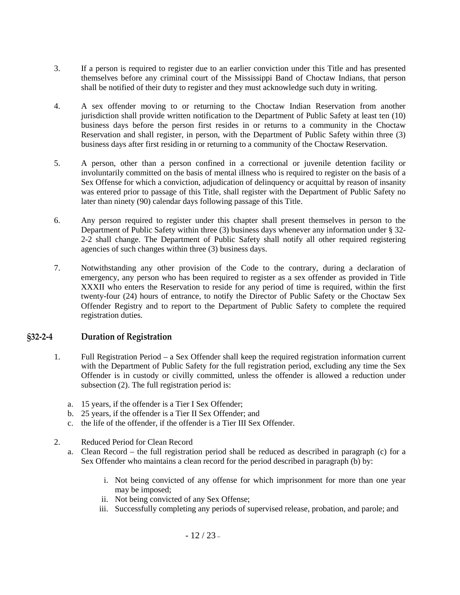- 3. If a person is required to register due to an earlier conviction under this Title and has presented themselves before any criminal court of the Mississippi Band of Choctaw Indians, that person shall be notified of their duty to register and they must acknowledge such duty in writing.
- 4. A sex offender moving to or returning to the Choctaw Indian Reservation from another jurisdiction shall provide written notification to the Department of Public Safety at least ten (10) business days before the person first resides in or returns to a community in the Choctaw Reservation and shall register, in person, with the Department of Public Safety within three (3) business days after first residing in or returning to a community of the Choctaw Reservation.
- 5. A person, other than a person confined in a correctional or juvenile detention facility or involuntarily committed on the basis of mental illness who is required to register on the basis of a Sex Offense for which a conviction, adjudication of delinquency or acquittal by reason of insanity was entered prior to passage of this Title, shall register with the Department of Public Safety no later than ninety (90) calendar days following passage of this Title.
- 6. Any person required to register under this chapter shall present themselves in person to the Department of Public Safety within three (3) business days whenever any information under § 32- 2-2 shall change. The Department of Public Safety shall notify all other required registering agencies of such changes within three (3) business days.
- 7. Notwithstanding any other provision of the Code to the contrary, during a declaration of emergency, any person who has been required to register as a sex offender as provided in Title XXXII who enters the Reservation to reside for any period of time is required, within the first twenty-four (24) hours of entrance, to notify the Director of Public Safety or the Choctaw Sex Offender Registry and to report to the Department of Public Safety to complete the required registration duties.

### <span id="page-11-0"></span>**§32-2-4 Duration of Registration**

- 1. Full Registration Period a Sex Offender shall keep the required registration information current with the Department of Public Safety for the full registration period, excluding any time the Sex Offender is in custody or civilly committed, unless the offender is allowed a reduction under subsection (2). The full registration period is:
	- a. 15 years, if the offender is a Tier I Sex Offender;
	- b. 25 years, if the offender is a Tier II Sex Offender; and
	- c. the life of the offender, if the offender is a Tier III Sex Offender.
- 2. Reduced Period for Clean Record
	- a. Clean Record the full registration period shall be reduced as described in paragraph (c) for a Sex Offender who maintains a clean record for the period described in paragraph (b) by:
		- i. Not being convicted of any offense for which imprisonment for more than one year may be imposed;
		- ii. Not being convicted of any Sex Offense;
		- iii. Successfully completing any periods of supervised release, probation, and parole; and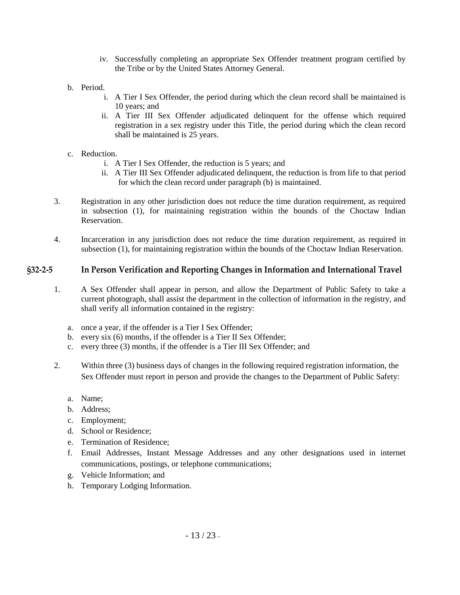- iv. Successfully completing an appropriate Sex Offender treatment program certified by the Tribe or by the United States Attorney General.
- b. Period.
	- i. A Tier I Sex Offender, the period during which the clean record shall be maintained is 10 years; and
	- ii. A Tier III Sex Offender adjudicated delinquent for the offense which required registration in a sex registry under this Title, the period during which the clean record shall be maintained is 25 years.
- c. Reduction.
	- i. A Tier I Sex Offender, the reduction is 5 years; and
	- ii. A Tier III Sex Offender adjudicated delinquent, the reduction is from life to that period for which the clean record under paragraph (b) is maintained.
- 3. Registration in any other jurisdiction does not reduce the time duration requirement, as required in subsection (1), for maintaining registration within the bounds of the Choctaw Indian Reservation.
- 4. Incarceration in any jurisdiction does not reduce the time duration requirement, as required in subsection (1), for maintaining registration within the bounds of the Choctaw Indian Reservation.

### <span id="page-12-0"></span>**§32-2-5 In Person Verification and Reporting Changes in Information and International Travel**

- 1. A Sex Offender shall appear in person, and allow the Department of Public Safety to take a current photograph, shall assist the department in the collection of information in the registry, and shall verify all information contained in the registry:
	- a. once a year, if the offender is a Tier I Sex Offender;
	- b. every six (6) months, if the offender is a Tier II Sex Offender;
	- c. every three (3) months, if the offender is a Tier III Sex Offender; and
- 2. Within three (3) business days of changes in the following required registration information, the Sex Offender must report in person and provide the changes to the Department of Public Safety:
	- a. Name;
	- b. Address;
	- c. Employment;
	- d. School or Residence;
	- e. Termination of Residence;
	- f. Email Addresses, Instant Message Addresses and any other designations used in internet communications, postings, or telephone communications;
	- g. Vehicle Information; and
	- h. Temporary Lodging Information.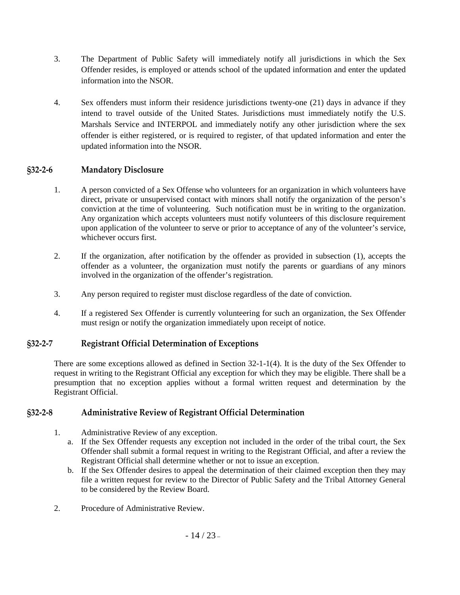- 3. The Department of Public Safety will immediately notify all jurisdictions in which the Sex Offender resides, is employed or attends school of the updated information and enter the updated information into the NSOR.
- 4. Sex offenders must inform their residence jurisdictions twenty-one (21) days in advance if they intend to travel outside of the United States. Jurisdictions must immediately notify the U.S. Marshals Service and INTERPOL and immediately notify any other jurisdiction where the sex offender is either registered, or is required to register, of that updated information and enter the updated information into the NSOR.

# <span id="page-13-0"></span>**§32-2-6 Mandatory Disclosure**

- 1. A person convicted of a Sex Offense who volunteers for an organization in which volunteers have direct, private or unsupervised contact with minors shall notify the organization of the person's conviction at the time of volunteering. Such notification must be in writing to the organization. Any organization which accepts volunteers must notify volunteers of this disclosure requirement upon application of the volunteer to serve or prior to acceptance of any of the volunteer's service, whichever occurs first.
- 2. If the organization, after notification by the offender as provided in subsection (1), accepts the offender as a volunteer, the organization must notify the parents or guardians of any minors involved in the organization of the offender's registration.
- 3. Any person required to register must disclose regardless of the date of conviction.
- 4. If a registered Sex Offender is currently volunteering for such an organization, the Sex Offender must resign or notify the organization immediately upon receipt of notice.

# <span id="page-13-1"></span>**§32-2-7 Registrant Official Determination of Exceptions**

<span id="page-13-2"></span>There are some exceptions allowed as defined in Section 32-1-1(4). It is the duty of the Sex Offender to request in writing to the Registrant Official any exception for which they may be eligible. There shall be a presumption that no exception applies without a formal written request and determination by the Registrant Official.

## <span id="page-13-3"></span>**§32-2-8 Administrative Review of Registrant Official Determination**

- 1. Administrative Review of any exception.
	- a. If the Sex Offender requests any exception not included in the order of the tribal court, the Sex Offender shall submit a formal request in writing to the Registrant Official, and after a review the Registrant Official shall determine whether or not to issue an exception.
	- b. If the Sex Offender desires to appeal the determination of their claimed exception then they may file a written request for review to the Director of Public Safety and the Tribal Attorney General to be considered by the Review Board.
- 2. Procedure of Administrative Review.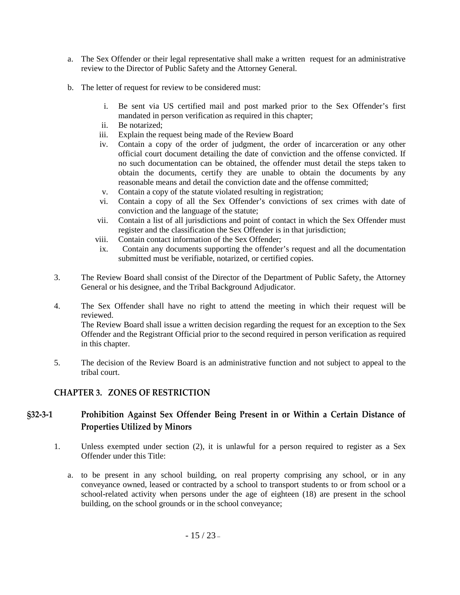- a. The Sex Offender or their legal representative shall make a written request for an administrative review to the Director of Public Safety and the Attorney General.
- b. The letter of request for review to be considered must:
	- i. Be sent via US certified mail and post marked prior to the Sex Offender's first mandated in person verification as required in this chapter;
	- ii. Be notarized;
	- iii. Explain the request being made of the Review Board
	- iv. Contain a copy of the order of judgment, the order of incarceration or any other official court document detailing the date of conviction and the offense convicted. If no such documentation can be obtained, the offender must detail the steps taken to obtain the documents, certify they are unable to obtain the documents by any reasonable means and detail the conviction date and the offense committed;
	- v. Contain a copy of the statute violated resulting in registration;
	- vi. Contain a copy of all the Sex Offender's convictions of sex crimes with date of conviction and the language of the statute;
	- vii. Contain a list of all jurisdictions and point of contact in which the Sex Offender must register and the classification the Sex Offender is in that jurisdiction;
	- viii. Contain contact information of the Sex Offender;
	- ix. Contain any documents supporting the offender's request and all the documentation submitted must be verifiable, notarized, or certified copies.
- 3. The Review Board shall consist of the Director of the Department of Public Safety, the Attorney General or his designee, and the Tribal Background Adjudicator.
- 4. The Sex Offender shall have no right to attend the meeting in which their request will be reviewed. The Review Board shall issue a written decision regarding the request for an exception to the Sex Offender and the Registrant Official prior to the second required in person verification as required in this chapter.
- 5. The decision of the Review Board is an administrative function and not subject to appeal to the tribal court.

## <span id="page-14-0"></span>**CHAPTER 3. ZONES OF RESTRICTION**

# <span id="page-14-1"></span>**§32-3-1 Prohibition Against Sex Offender Being Present in or Within a Certain Distance of Properties Utilized by Minors**

- 1. Unless exempted under section (2), it is unlawful for a person required to register as a Sex Offender under this Title:
	- a. to be present in any school building, on real property comprising any school, or in any conveyance owned, leased or contracted by a school to transport students to or from school or a school-related activity when persons under the age of eighteen (18) are present in the school building, on the school grounds or in the school conveyance;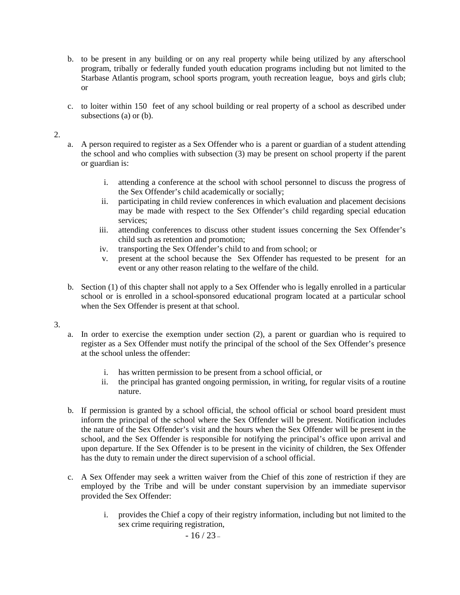- b. to be present in any building or on any real property while being utilized by any afterschool program, tribally or federally funded youth education programs including but not limited to the Starbase Atlantis program, school sports program, youth recreation league, boys and girls club; or
- c. to loiter within 150 feet of any school building or real property of a school as described under subsections (a) or (b).

#### 2.

- a. A person required to register as a Sex Offender who is a parent or guardian of a student attending the school and who complies with subsection (3) may be present on school property if the parent or guardian is:
	- i. attending a conference at the school with school personnel to discuss the progress of the Sex Offender's child academically or socially;
	- ii. participating in child review conferences in which evaluation and placement decisions may be made with respect to the Sex Offender's child regarding special education services;
	- iii. attending conferences to discuss other student issues concerning the Sex Offender's child such as retention and promotion;
	- iv. transporting the Sex Offender's child to and from school; or
	- v. present at the school because the Sex Offender has requested to be present for an event or any other reason relating to the welfare of the child.
- b. Section (1) of this chapter shall not apply to a Sex Offender who is legally enrolled in a particular school or is enrolled in a school-sponsored educational program located at a particular school when the Sex Offender is present at that school.

#### 3.

- a. In order to exercise the exemption under section (2), a parent or guardian who is required to register as a Sex Offender must notify the principal of the school of the Sex Offender's presence at the school unless the offender:
	- i. has written permission to be present from a school official, or
	- ii. the principal has granted ongoing permission, in writing, for regular visits of a routine nature.
- b. If permission is granted by a school official, the school official or school board president must inform the principal of the school where the Sex Offender will be present. Notification includes the nature of the Sex Offender's visit and the hours when the Sex Offender will be present in the school, and the Sex Offender is responsible for notifying the principal's office upon arrival and upon departure. If the Sex Offender is to be present in the vicinity of children, the Sex Offender has the duty to remain under the direct supervision of a school official.
- c. A Sex Offender may seek a written waiver from the Chief of this zone of restriction if they are employed by the Tribe and will be under constant supervision by an immediate supervisor provided the Sex Offender:
	- i. provides the Chief a copy of their registry information, including but not limited to the sex crime requiring registration,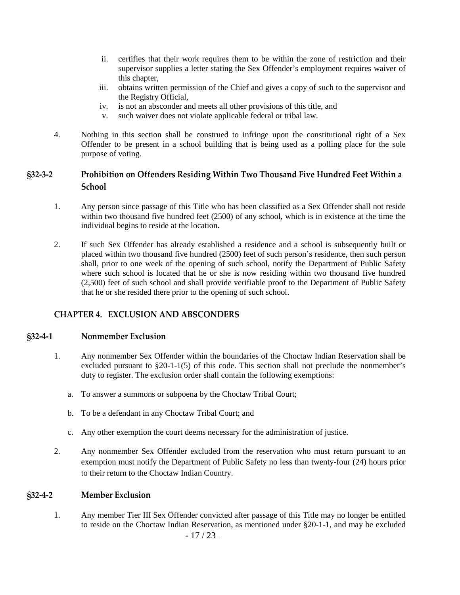- ii. certifies that their work requires them to be within the zone of restriction and their supervisor supplies a letter stating the Sex Offender's employment requires waiver of this chapter,
- iii. obtains written permission of the Chief and gives a copy of such to the supervisor and the Registry Official,
- iv. is not an absconder and meets all other provisions of this title, and
- v. such waiver does not violate applicable federal or tribal law.
- 4. Nothing in this section shall be construed to infringe upon the constitutional right of a Sex Offender to be present in a school building that is being used as a polling place for the sole purpose of voting.

# <span id="page-16-0"></span>**§32-3-2 Prohibition on Offenders Residing Within Two Thousand Five Hundred Feet Within a School**

- 1. Any person since passage of this Title who has been classified as a Sex Offender shall not reside within two thousand five hundred feet (2500) of any school, which is in existence at the time the individual begins to reside at the location.
- 2. If such Sex Offender has already established a residence and a school is subsequently built or placed within two thousand five hundred (2500) feet of such person's residence, then such person shall, prior to one week of the opening of such school, notify the Department of Public Safety where such school is located that he or she is now residing within two thousand five hundred (2,500) feet of such school and shall provide verifiable proof to the Department of Public Safety that he or she resided there prior to the opening of such school.

## <span id="page-16-1"></span>**CHAPTER 4. EXCLUSION AND ABSCONDERS**

### <span id="page-16-2"></span>**§32-4-1 Nonmember Exclusion**

- 1. Any nonmember Sex Offender within the boundaries of the Choctaw Indian Reservation shall be excluded pursuant to  $\S20-1-1(5)$  of this code. This section shall not preclude the nonmember's duty to register. The exclusion order shall contain the following exemptions:
	- a. To answer a summons or subpoena by the Choctaw Tribal Court;
	- b. To be a defendant in any Choctaw Tribal Court; and
	- c. Any other exemption the court deems necessary for the administration of justice.
- 2. Any nonmember Sex Offender excluded from the reservation who must return pursuant to an exemption must notify the Department of Public Safety no less than twenty-four (24) hours prior to their return to the Choctaw Indian Country.

### <span id="page-16-3"></span>**§32-4-2 Member Exclusion**

 $-17/23-$ 1. Any member Tier III Sex Offender convicted after passage of this Title may no longer be entitled to reside on the Choctaw Indian Reservation, as mentioned under §20-1-1, and may be excluded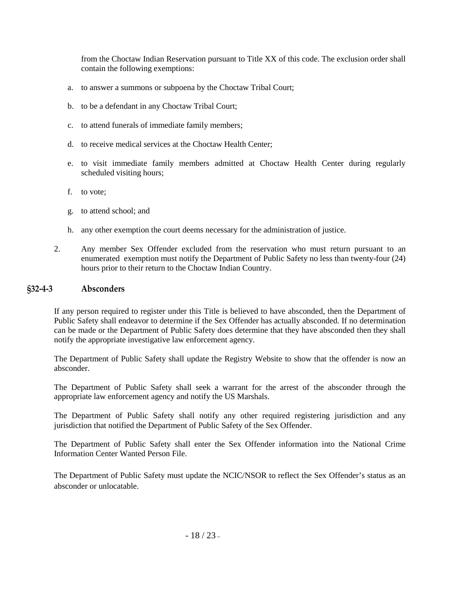from the Choctaw Indian Reservation pursuant to Title XX of this code. The exclusion order shall contain the following exemptions:

- a. to answer a summons or subpoena by the Choctaw Tribal Court;
- b. to be a defendant in any Choctaw Tribal Court;
- c. to attend funerals of immediate family members;
- d. to receive medical services at the Choctaw Health Center;
- e. to visit immediate family members admitted at Choctaw Health Center during regularly scheduled visiting hours;
- f. to vote;
- g. to attend school; and
- h. any other exemption the court deems necessary for the administration of justice.
- 2. Any member Sex Offender excluded from the reservation who must return pursuant to an enumerated exemption must notify the Department of Public Safety no less than twenty-four (24) hours prior to their return to the Choctaw Indian Country.

### <span id="page-17-0"></span>**§32-4-3 Absconders**

If any person required to register under this Title is believed to have absconded, then the Department of Public Safety shall endeavor to determine if the Sex Offender has actually absconded. If no determination can be made or the Department of Public Safety does determine that they have absconded then they shall notify the appropriate investigative law enforcement agency.

The Department of Public Safety shall update the Registry Website to show that the offender is now an absconder.

The Department of Public Safety shall seek a warrant for the arrest of the absconder through the appropriate law enforcement agency and notify the US Marshals.

The Department of Public Safety shall notify any other required registering jurisdiction and any jurisdiction that notified the Department of Public Safety of the Sex Offender.

The Department of Public Safety shall enter the Sex Offender information into the National Crime Information Center Wanted Person File.

The Department of Public Safety must update the NCIC/NSOR to reflect the Sex Offender's status as an absconder or unlocatable.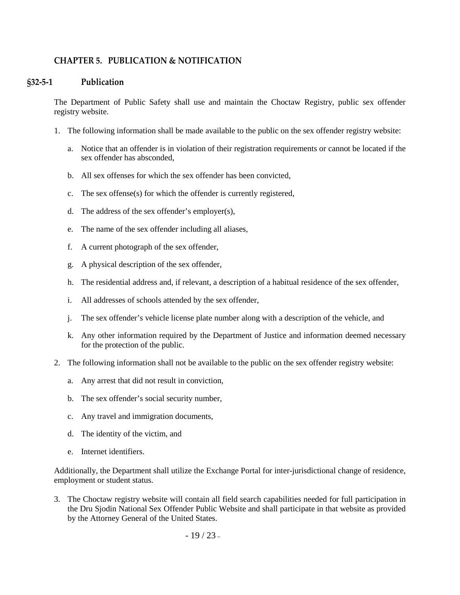## <span id="page-18-0"></span>**CHAPTER 5. PUBLICATION & NOTIFICATION**

### <span id="page-18-1"></span>**§32-5-1 Publication**

The Department of Public Safety shall use and maintain the Choctaw Registry, public sex offender registry website.

- 1. The following information shall be made available to the public on the sex offender registry website:
	- a. Notice that an offender is in violation of their registration requirements or cannot be located if the sex offender has absconded,
	- b. All sex offenses for which the sex offender has been convicted,
	- c. The sex offense(s) for which the offender is currently registered,
	- d. The address of the sex offender's employer(s),
	- e. The name of the sex offender including all aliases,
	- f. A current photograph of the sex offender,
	- g. A physical description of the sex offender,
	- h. The residential address and, if relevant, a description of a habitual residence of the sex offender,
	- i. All addresses of schools attended by the sex offender,
	- j. The sex offender's vehicle license plate number along with a description of the vehicle, and
	- k. Any other information required by the Department of Justice and information deemed necessary for the protection of the public.
- 2. The following information shall not be available to the public on the sex offender registry website:
	- a. Any arrest that did not result in conviction,
	- b. The sex offender's social security number,
	- c. Any travel and immigration documents,
	- d. The identity of the victim, and
	- e. Internet identifiers.

Additionally, the Department shall utilize the Exchange Portal for inter-jurisdictional change of residence, employment or student status.

3. The Choctaw registry website will contain all field search capabilities needed for full participation in the Dru Sjodin National Sex Offender Public Website and shall participate in that website as provided by the Attorney General of the United States.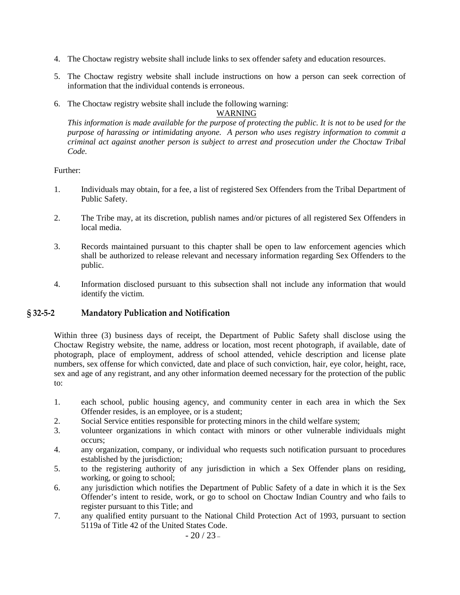- 4. The Choctaw registry website shall include links to sex offender safety and education resources.
- 5. The Choctaw registry website shall include instructions on how a person can seek correction of information that the individual contends is erroneous.
- 6. The Choctaw registry website shall include the following warning:

WARNING

*This information is made available for the purpose of protecting the public. It is not to be used for the purpose of harassing or intimidating anyone. A person who uses registry information to commit a criminal act against another person is subject to arrest and prosecution under the Choctaw Tribal Code.*

#### Further:

- 1. Individuals may obtain, for a fee, a list of registered Sex Offenders from the Tribal Department of Public Safety.
- 2. The Tribe may, at its discretion, publish names and/or pictures of all registered Sex Offenders in local media.
- 3. Records maintained pursuant to this chapter shall be open to law enforcement agencies which shall be authorized to release relevant and necessary information regarding Sex Offenders to the public.
- 4. Information disclosed pursuant to this subsection shall not include any information that would identify the victim.

### <span id="page-19-0"></span>**§ 32-5-2 Mandatory Publication and Notification**

Within three (3) business days of receipt, the Department of Public Safety shall disclose using the Choctaw Registry website, the name, address or location, most recent photograph, if available, date of photograph, place of employment, address of school attended, vehicle description and license plate numbers, sex offense for which convicted, date and place of such conviction, hair, eye color, height, race, sex and age of any registrant, and any other information deemed necessary for the protection of the public to:

- 1. each school, public housing agency, and community center in each area in which the Sex Offender resides, is an employee, or is a student;
- 2. Social Service entities responsible for protecting minors in the child welfare system;
- 3. volunteer organizations in which contact with minors or other vulnerable individuals might occurs;
- 4. any organization, company, or individual who requests such notification pursuant to procedures established by the jurisdiction;
- 5. to the registering authority of any jurisdiction in which a Sex Offender plans on residing, working, or going to school;
- 6. any jurisdiction which notifies the Department of Public Safety of a date in which it is the Sex Offender's intent to reside, work, or go to school on Choctaw Indian Country and who fails to register pursuant to this Title; and
- 7. any qualified entity pursuant to the National Child Protection Act of 1993, pursuant to section 5119a of Title 42 of the United States Code.

 $-20/23-$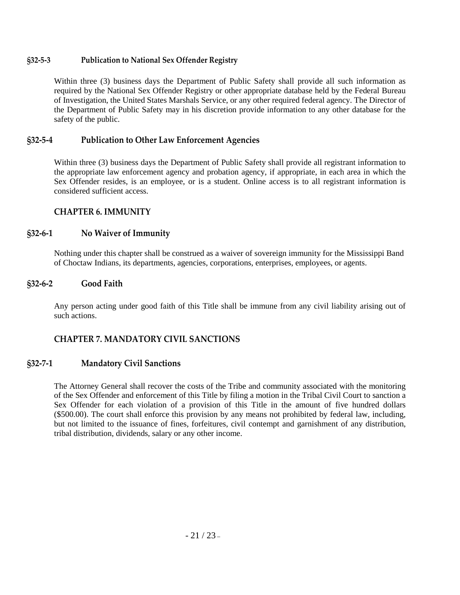## <span id="page-20-0"></span>**§32-5-3 Publication to National Sex Offender Registry**

Within three (3) business days the Department of Public Safety shall provide all such information as required by the National Sex Offender Registry or other appropriate database held by the Federal Bureau of Investigation, the United States Marshals Service, or any other required federal agency. The Director of the Department of Public Safety may in his discretion provide information to any other database for the safety of the public.

### <span id="page-20-1"></span>**§32-5-4 Publication to Other Law Enforcement Agencies**

Within three (3) business days the Department of Public Safety shall provide all registrant information to the appropriate law enforcement agency and probation agency, if appropriate, in each area in which the Sex Offender resides, is an employee, or is a student. Online access is to all registrant information is considered sufficient access.

### <span id="page-20-2"></span>**CHAPTER 6. IMMUNITY**

### <span id="page-20-3"></span>**§32-6-1 No Waiver of Immunity**

Nothing under this chapter shall be construed as a waiver of sovereign immunity for the Mississippi Band of Choctaw Indians, its departments, agencies, corporations, enterprises, employees, or agents.

### <span id="page-20-4"></span>**§32-6-2 Good Faith**

Any person acting under good faith of this Title shall be immune from any civil liability arising out of such actions.

## <span id="page-20-5"></span>**CHAPTER 7. MANDATORY CIVIL SANCTIONS**

## <span id="page-20-6"></span>**§32-7-1 Mandatory Civil Sanctions**

The Attorney General shall recover the costs of the Tribe and community associated with the monitoring of the Sex Offender and enforcement of this Title by filing a motion in the Tribal Civil Court to sanction a Sex Offender for each violation of a provision of this Title in the amount of five hundred dollars (\$500.00). The court shall enforce this provision by any means not prohibited by federal law, including, but not limited to the issuance of fines, forfeitures, civil contempt and garnishment of any distribution, tribal distribution, dividends, salary or any other income.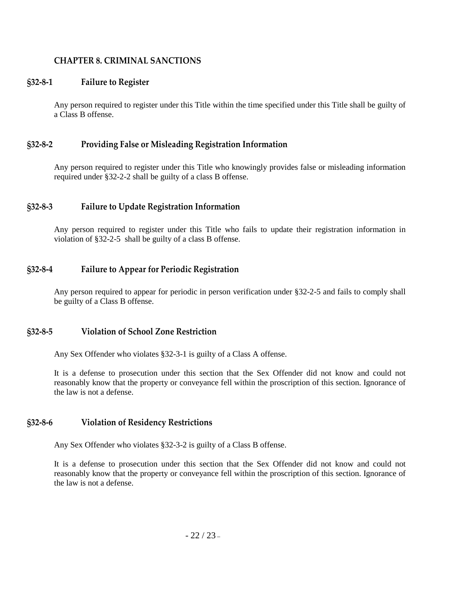## <span id="page-21-0"></span>**CHAPTER 8. CRIMINAL SANCTIONS**

### <span id="page-21-1"></span>**§32-8-1 Failure to Register**

Any person required to register under this Title within the time specified under this Title shall be guilty of a Class B offense.

### <span id="page-21-2"></span>**§32-8-2 Providing False or Misleading Registration Information**

Any person required to register under this Title who knowingly provides false or misleading information required under §32-2-2 shall be guilty of a class B offense.

### <span id="page-21-3"></span>**§32-8-3 Failure to Update Registration Information**

Any person required to register under this Title who fails to update their registration information in violation of §32-2-5 shall be guilty of a class B offense.

## <span id="page-21-4"></span>**§32-8-4 Failure to Appear for Periodic Registration**

Any person required to appear for periodic in person verification under §32-2-5 and fails to comply shall be guilty of a Class B offense.

### <span id="page-21-5"></span>**§32-8-5 Violation of School Zone Restriction**

Any Sex Offender who violates §32-3-1 is guilty of a Class A offense.

It is a defense to prosecution under this section that the Sex Offender did not know and could not reasonably know that the property or conveyance fell within the proscription of this section. Ignorance of the law is not a defense.

### <span id="page-21-6"></span>**§32-8-6 Violation of Residency Restrictions**

Any Sex Offender who violates §32-3-2 is guilty of a Class B offense.

It is a defense to prosecution under this section that the Sex Offender did not know and could not reasonably know that the property or conveyance fell within the proscription of this section. Ignorance of the law is not a defense.